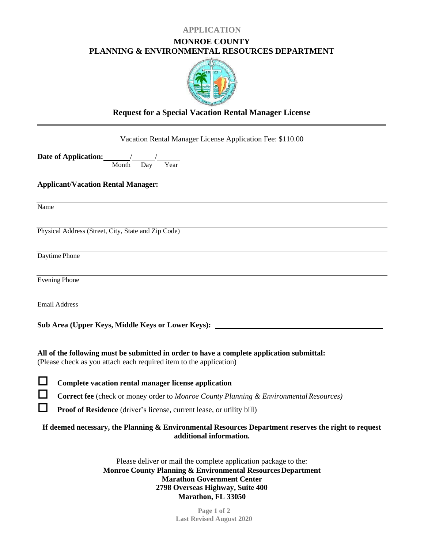### **APPLICATION**

### **MONROE COUNTY PLANNING & ENVIRONMENTAL RESOURCES DEPARTMENT**



# **Request for a Special Vacation Rental Manager License**

Vacation Rental Manager License Application Fee: \$110.00

**Date of Application:** *Month*  $\overline{Day}'$  Year

**Applicant/Vacation Rental Manager:**

Name

Physical Address (Street, City, State and Zip Code)

Daytime Phone

Evening Phone

Email Address

**Sub Area (Upper Keys, Middle Keys or Lower Keys):** 

**All of the following must be submitted in order to have a complete application submittal:** (Please check as you attach each required item to the application)

**Complete vacation rental manager license application**

**Correct fee** (check or money order to *Monroe County Planning & Environmental Resources)*

**Proof of Residence** (driver's license, current lease, or utility bill)

**If deemed necessary, the Planning & Environmental Resources Department reserves the right to request additional information.**

> Please deliver or mail the complete application package to the: **Monroe County Planning & Environmental Resources Department Marathon Government Center 2798 Overseas Highway, Suite 400 Marathon, FL 33050**

> > **Page 1 of 2 Last Revised August 2020**